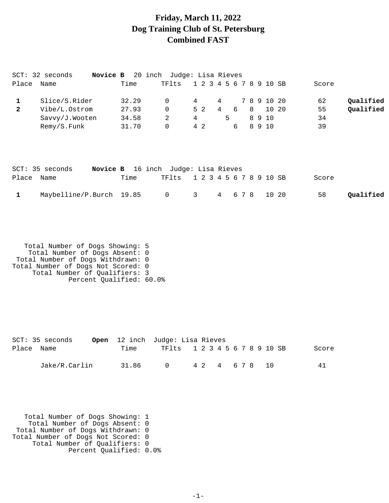#### **Friday, March 11, 2022 Dog Training Club of St. Petersburg Combined FAST**

|              | SCT: 32 seconds<br>Novice B |       | 20 inch Judge: Lisa Rieves |                         |   |     |   |                 |       |       |           |
|--------------|-----------------------------|-------|----------------------------|-------------------------|---|-----|---|-----------------|-------|-------|-----------|
| Place        | Name                        | Time  | TFlts                      | 1 2 3 4                 |   |     |   | 5 6 7 8 9 10 SB |       | Score |           |
| 1            | Slice/S.Rider               | 32.29 | 0                          | 4                       | 4 |     |   | 7 8 9 10 20     |       | 62    | Qualified |
| $\mathbf{2}$ | Vibe/L.Ostrom               | 27.93 | 0                          | 5 <sub>2</sub>          | 4 | 6   | 8 |                 | 10 20 | 55    | Qualified |
|              | Savvy/J.Wooten              | 34.58 | 2                          | 4                       | 5 |     |   | 8 9 10          |       | 34    |           |
|              | Remy/S.Funk                 | 31.70 | 0                          | 4 2                     |   | 6   |   | 8 9 10          |       | 39    |           |
|              | SCT: 35 seconds<br>Novice B |       | 16 inch Judge: Lisa Rieves |                         |   |     |   |                 |       |       |           |
| Place        | Name                        | Time  | TFlts                      | 1 2 3 4 5 6 7 8 9 10 SB |   |     |   |                 |       | Score |           |
|              | Maybelline/P.Burch          | 19.85 | 0                          | 3                       | 4 | 678 |   |                 | 10 20 | 58    | Qualified |

 Total Number of Dogs Showing: 5 Total Number of Dogs Absent: 0 Total Number of Dogs Withdrawn: 0 Total Number of Dogs Not Scored: 0 Total Number of Qualifiers: 3 Percent Qualified: 60.0%

|            | SCT: 35 seconds |       | <b>Open</b> 12 inch Judge: Lisa Rieves |                |  |  |       |
|------------|-----------------|-------|----------------------------------------|----------------|--|--|-------|
| Place Name |                 | Time  | TF1ts 1 2 3 4 5 6 7 8 9 10 SB          |                |  |  | Score |
|            | Jake/R.Carlin   | 31.86 | $\cap$                                 | 4 2 4 6 7 8 10 |  |  | 41    |

 Total Number of Dogs Showing: 1 Total Number of Dogs Absent: 0 Total Number of Dogs Withdrawn: 0 Total Number of Dogs Not Scored: 0 Total Number of Qualifiers: 0 Percent Qualified: 0.0%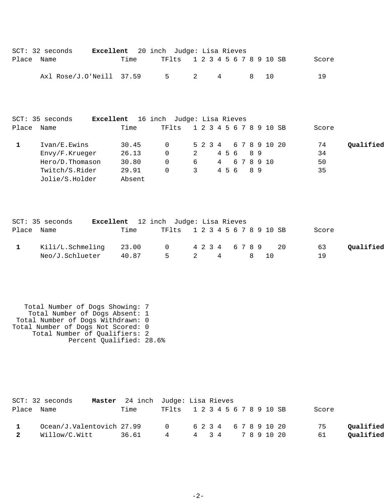|       | $SCT: 32$ seconds                                                                     | Excellent                                  | 20 inch Judge: Lisa Rieves                            |                        |                                 |        |          |          |                      |           |
|-------|---------------------------------------------------------------------------------------|--------------------------------------------|-------------------------------------------------------|------------------------|---------------------------------|--------|----------|----------|----------------------|-----------|
| Place | Name                                                                                  | Time                                       | TFlts                                                 |                        | 1 2 3 4 5 6 7 8 9 10 SB         |        |          |          | Score                |           |
|       | Axl Rose/J.O'Neill                                                                    | 37.59                                      | 5                                                     | 2                      | 4                               |        | 8        | 10       | 19                   |           |
| Place | SCT: 35 seconds<br>Name                                                               | Time                                       | Excellent 16 inch Judge: Lisa Rieves<br>TFlts         |                        | 1 2 3 4 5 6 7 8 9 10 SB         |        |          |          | Score                |           |
| 1     | Ivan/E.Ewins<br>Envy/F.Krueger<br>Hero/D.Thomason<br>Twitch/S.Rider<br>Jolie/S.Holder | 30.45<br>26.13<br>30.80<br>29.91<br>Absent | $\mathbf 0$<br>$\Omega$<br>$\mathbf 0$<br>$\mathbf 0$ | 5 2 3 4<br>2<br>6<br>3 | 456<br>$4\overline{ }$<br>4 5 6 | 678910 | 89<br>89 | 67891020 | 74<br>34<br>50<br>35 | Oualified |

|            | SCT: 35 seconds  | Excellent 12 inch Judge: Lisa Rieves |             |                               |  |      |  |       |           |
|------------|------------------|--------------------------------------|-------------|-------------------------------|--|------|--|-------|-----------|
| Place Name |                  | Time                                 |             | TF1ts 1 2 3 4 5 6 7 8 9 10 SB |  |      |  | Score |           |
|            | Kili/L.Schmeling | 23.00                                |             | 0 4234 6789 20                |  |      |  | 63    | Oualified |
|            | Neo/J.Schlueter  |                                      | 40.87 5 2 4 |                               |  | 8 10 |  | 19    |           |

 Total Number of Dogs Showing: 7 Total Number of Dogs Absent: 1 Total Number of Dogs Withdrawn: 0 Total Number of Dogs Not Scored: 0 Total Number of Qualifiers: 2 Percent Qualified: 28.6%

|   | $SCT: 32$ seconds         | <b>Master</b> 24 inch Judge: Lisa Rieves |                               |  |  |  |  |  |       |           |
|---|---------------------------|------------------------------------------|-------------------------------|--|--|--|--|--|-------|-----------|
|   | Place Name                | Time                                     | TF1ts 1 2 3 4 5 6 7 8 9 10 SB |  |  |  |  |  | Score |           |
|   | Ocean/J.Valentovich 27.99 |                                          | 0 6 2 3 4 6 7 8 9 10 20       |  |  |  |  |  | 75    | Qualified |
| 2 | Willow/C.Witt             | 36.61                                    | 4 4 3 4 7 8 9 10 20           |  |  |  |  |  | 61    | Qualified |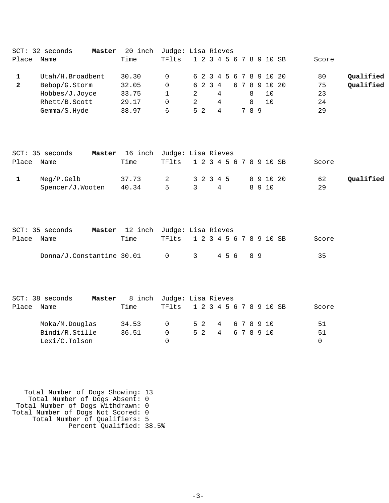|              | $SCT: 32$ seconds<br>Master | 20 inch |       |     | Judge: Lisa Rieves      |     |               |                 |  |
|--------------|-----------------------------|---------|-------|-----|-------------------------|-----|---------------|-----------------|--|
| Place        | Name                        | Time    | TFlts |     | 1 2 3 4 5 6 7 8 9 10 SB |     |               | Score           |  |
|              | Utah/H.Broadbent            | 30.30   | 0     |     | 6 2 3 4 5 6 7 8 9 10 20 |     |               | Qualified<br>80 |  |
| $\mathbf{2}$ | Bebop/G.Storm               | 32.05   | 0     |     | 6 2 3 4                 |     | 6 7 8 9 10 20 | Qualified<br>75 |  |
|              | Hobbes/J.Joyce              | 33.75   |       |     | 4                       | 8   | 10            | 23              |  |
|              | Rhett/B.Scott               | 29.17   | 0     | 2   | 4                       | 8   | 10            | 24              |  |
|              | Gemma/S.Hyde                | 38.97   | 6     | 5 2 | 4                       | 789 |               | 29              |  |

|            | SCT: 35 seconds  |       |   | Master 16 inch Judge: Lisa Rieves |      |       |           |
|------------|------------------|-------|---|-----------------------------------|------|-------|-----------|
| Place Name |                  | Time  |   | TF1ts 1 2 3 4 5 6 7 8 9 10 SB     |      | Score |           |
|            | Meg/P.Gelb       | 37.73 |   | 2 3 2 3 4 5 8 9 10 20             |      | 62    | Oualified |
|            | Spencer/J.Wooten | 40.34 | 5 | $\overline{\mathbf{3}}$<br>4      | 8910 | 29    |           |

|            | SCT: 35 seconds           | <b>Master</b> 12 inch Judge: Lisa Rieves |                               |  |  |       |  |  |       |
|------------|---------------------------|------------------------------------------|-------------------------------|--|--|-------|--|--|-------|
| Place Name |                           | Time                                     | TF1ts 1 2 3 4 5 6 7 8 9 10 SB |  |  |       |  |  | Score |
|            | Donna/J.Constantine 30.01 |                                          | $\bigcap$                     |  |  | 45689 |  |  | -35   |

|       | $SCT: 38$ seconds | Master | 8 inch Judge: Lisa Rieves |                               |                  |  |  |  |                  |  |       |
|-------|-------------------|--------|---------------------------|-------------------------------|------------------|--|--|--|------------------|--|-------|
| Place | Name              |        | Time                      | TF1ts 1 2 3 4 5 6 7 8 9 10 SB |                  |  |  |  |                  |  | Score |
|       | Moka/M.Douglas    |        | 34.53                     | $\cap$                        | 5 2 4 6 7 8 9 10 |  |  |  |                  |  | 51    |
|       | Bindi/R.Stille    |        | 36.51                     | $^{\circ}$                    |                  |  |  |  | 5 2 4 6 7 8 9 10 |  | 51    |
|       | Lexi/C.Tolson     |        |                           |                               |                  |  |  |  |                  |  |       |

 Total Number of Dogs Showing: 13 Total Number of Dogs Absent: 0 Total Number of Dogs Withdrawn: 0 Total Number of Dogs Not Scored: 0 Total Number of Qualifiers: 5 Percent Qualified: 38.5%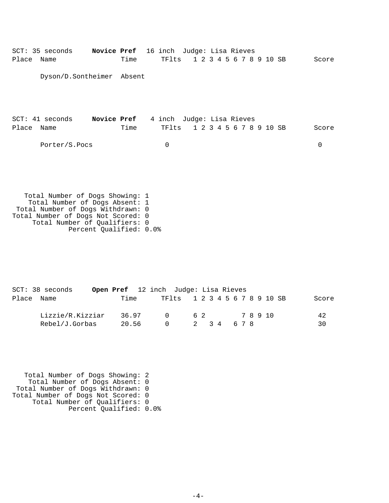| Place      | SCT: 35 seconds Novice Pref 16 inch Judge: Lisa Rieves<br>Name                                                                               |                                       | Time | TFlts |  | 1 2 3 4 5 6 7 8 9 10 SB |  |  |  | Score |
|------------|----------------------------------------------------------------------------------------------------------------------------------------------|---------------------------------------|------|-------|--|-------------------------|--|--|--|-------|
|            | Dyson/D.Sontheimer Absent                                                                                                                    |                                       |      |       |  |                         |  |  |  |       |
|            |                                                                                                                                              |                                       |      |       |  |                         |  |  |  |       |
|            | SCT: 41 seconds                                                                                                                              | Novice Pref 4 inch Judge: Lisa Rieves |      |       |  |                         |  |  |  |       |
| Place Name |                                                                                                                                              |                                       | Time | TFlts |  | 1 2 3 4 5 6 7 8 9 10 SB |  |  |  | Score |
|            | Porter/S.Pocs                                                                                                                                |                                       |      | 0     |  |                         |  |  |  | 0     |
|            |                                                                                                                                              |                                       |      |       |  |                         |  |  |  |       |
|            |                                                                                                                                              |                                       |      |       |  |                         |  |  |  |       |
|            |                                                                                                                                              |                                       |      |       |  |                         |  |  |  |       |
|            | Total Number of Dogs Showing: 1<br>Total Number of Dogs Absent: 1<br>Total Number of Dogs Withdrawn: 0<br>Total Number of Dogs Not Scored: 0 |                                       |      |       |  |                         |  |  |  |       |

 Total Number of Qualifiers: 0 Percent Qualified: 0.0%

|            | SCT: 38 seconds  | Open Pref 12 inch Judge: Lisa Rieves |        |                               |             |  |  |  |  |       |  |       |
|------------|------------------|--------------------------------------|--------|-------------------------------|-------------|--|--|--|--|-------|--|-------|
| Place Name |                  | Time                                 |        | TF1ts 1 2 3 4 5 6 7 8 9 10 SB |             |  |  |  |  |       |  | Score |
|            | Lizzie/R.Kizziar | 36.97                                | $\cap$ |                               | 6 2         |  |  |  |  | 78910 |  | 42    |
|            | Rebel/J.Gorbas   | 20.56                                | $\cap$ |                               | 2 3 4 6 7 8 |  |  |  |  |       |  | 30    |

 Total Number of Dogs Showing: 2 Total Number of Dogs Absent: 0 Total Number of Dogs Withdrawn: 0 Total Number of Dogs Not Scored: 0 Total Number of Qualifiers: 0 Percent Qualified: 0.0%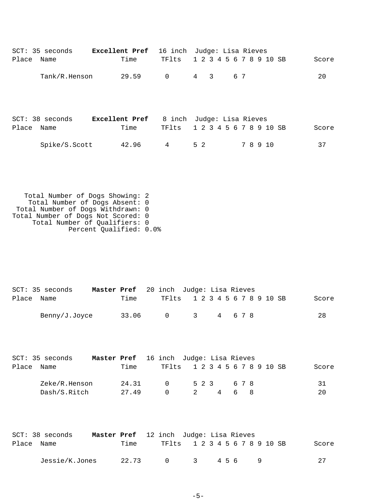| SCT: 35 seconds<br>Place<br>Name   | <b>Excellent Pref</b><br>Time | 16 inch<br>TFlts | Judge: Lisa Rieves               | 1 2 3 4 5 6 7 8 9 10 SB | Score |
|------------------------------------|-------------------------------|------------------|----------------------------------|-------------------------|-------|
| Tank/R.Henson                      | 29.59                         | $\mathbf 0$      | $\overline{4}$<br>$\overline{3}$ | 6 7                     | 20    |
| $SCT: 38$ seconds<br>Place<br>Name | <b>Excellent Pref</b><br>Time | 8 inch<br>TFlts  | Judge: Lisa Rieves               | 1 2 3 4 5 6 7 8 9 10 SB | Score |
| Spike/S.Scott                      | 42.96                         | 4                | 5 2                              | 7 8 9 10                | 37    |
|                                    |                               |                  |                                  |                         |       |

 Total Number of Dogs Showing: 2 Total Number of Dogs Absent: 0 Total Number of Dogs Withdrawn: 0 Total Number of Dogs Not Scored: 0 Total Number of Qualifiers: 0 Percent Qualified: 0.0%

|            | SCT: 35 seconds | Master Pref 20 inch Judge: Lisa Rieves |       |                               |          |  |  |         |  |  |       |
|------------|-----------------|----------------------------------------|-------|-------------------------------|----------|--|--|---------|--|--|-------|
| Place Name |                 |                                        | Time  | TF1ts 1 2 3 4 5 6 7 8 9 10 SB |          |  |  |         |  |  | Score |
|            | Benny/J.Joyce   |                                        | 33.06 | $\cap$                        | $\sim$ 3 |  |  | 4 6 7 8 |  |  | 28    |

|       | SCT: 35 seconds | Master Pref 16 inch Judge: Lisa Rieves |       |                               |                            |  |       |     |  |  |  |       |
|-------|-----------------|----------------------------------------|-------|-------------------------------|----------------------------|--|-------|-----|--|--|--|-------|
| Place | Name            |                                        | Time  | TF1ts 1 2 3 4 5 6 7 8 9 10 SB |                            |  |       |     |  |  |  | Score |
|       | Zeke/R.Henson   |                                        | 24.31 | $\Omega$                      | 5 2 3                      |  |       | 678 |  |  |  | 31    |
|       | Dash/S.Ritch    |                                        | 27.49 | $\cap$                        | $\overline{\phantom{a}}^2$ |  | 4 6 8 |     |  |  |  | 20    |

| $SCT: 38$ seconds | <b>Master Pref</b> 12 inch Judge: Lisa Rieves |       |                               |                         |  |  |     |  |  |  |       |
|-------------------|-----------------------------------------------|-------|-------------------------------|-------------------------|--|--|-----|--|--|--|-------|
| Place Name        |                                               | Time  | TF1ts 1 2 3 4 5 6 7 8 9 10 SB |                         |  |  |     |  |  |  | Score |
| Jessie/K.Jones    |                                               | 22.73 | $\bigcap$                     | $\overline{\mathbf{3}}$ |  |  | 456 |  |  |  | 27    |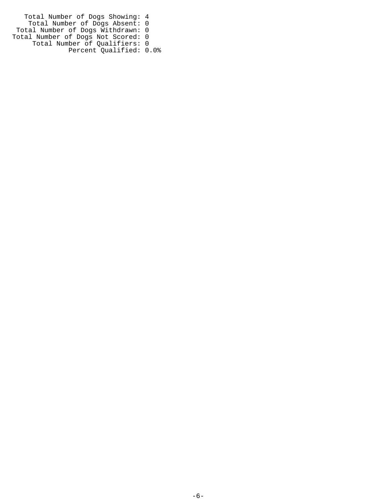Total Number of Dogs Showing: 4 Total Number of Dogs Absent: 0 Total Number of Dogs Withdrawn: 0 Total Number of Dogs Not Scored: 0 Total Number of Qualifiers: 0 Percent Qualified: 0.0%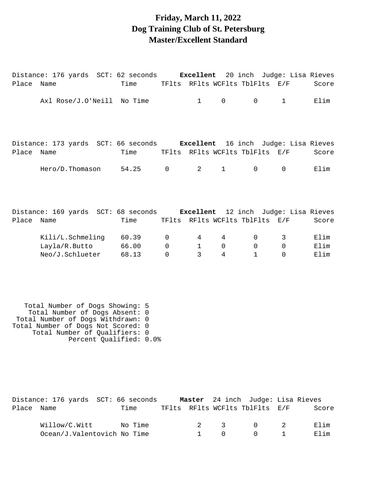#### **Friday, March 11, 2022 Dog Training Club of St. Petersburg Master/Excellent Standard**

| Place Name | Distance: 176 yards SCT: 62 seconds     Excellent  20 inch Judge: Lisa Rieves    | Time                                |                                        |                                   |                                 | TFlts RFlts WCFlts TblFlts E/F       |                           | Score                |
|------------|----------------------------------------------------------------------------------|-------------------------------------|----------------------------------------|-----------------------------------|---------------------------------|--------------------------------------|---------------------------|----------------------|
|            | Axl Rose/J.O'Neill No Time                                                       |                                     |                                        | $\mathbf{1}$                      | $\mathbf 0$                     | $\mathbf 0$                          | $\mathbf{1}$              | Elim                 |
| Place      | Distance: 173 yards SCT: 66 seconds Excellent 16 inch Judge: Lisa Rieves<br>Name | Time TFlts RFlts WCFlts TblFlts E/F |                                        |                                   |                                 |                                      |                           | Score                |
|            | Hero/D.Thomason 54.25                                                            |                                     | $\overline{0}$                         | $2 \left( \frac{1}{2} \right)$    | $\mathbf{1}$                    | $\overline{0}$                       | $\overline{0}$            | Elim                 |
| Place Name | Distance: 169 yards SCT: 68 seconds Excellent 12 inch Judge: Lisa Rieves         | Time TFlts RFlts WCFlts TblFlts E/F |                                        |                                   |                                 |                                      |                           | Score                |
|            | Kili/L.Schmeling 60.39<br>Layla/R.Butto 66.00<br>Neo/J.Schlueter                 | 68.13                               | $\mathbf 0$<br>$\Omega$<br>$\mathbf 0$ | 4<br>$\mathbf{1}$<br>$\mathbf{3}$ | 4<br>$\Omega$<br>$\overline{4}$ | $\Omega$<br>$\Omega$<br>$\mathbf{1}$ | 3<br>$\Omega$<br>$\Omega$ | Elim<br>Elim<br>Elim |
|            |                                                                                  |                                     |                                        |                                   |                                 |                                      |                           |                      |

 Total Number of Dogs Showing: 5 Total Number of Dogs Absent: 0 Total Number of Dogs Withdrawn: 0 Total Number of Dogs Not Scored: 0 Total Number of Qualifiers: 0 Percent Qualified: 0.0%

|            | Distance: 176 yards SCT: 66 seconds |         |  |              | <b>Master</b> 24 inch Judge: Lisa Rieves           |       |
|------------|-------------------------------------|---------|--|--------------|----------------------------------------------------|-------|
| Place Name |                                     | Time    |  |              | TFlts RFlts WCFlts TblFlts E/F                     | Score |
|            | Willow/C.Witt                       | No Time |  | $2 \sqrt{3}$ | $\begin{array}{ccc} & & 0 & \quad & 2 \end{array}$ | Elim  |
|            | Ocean/J.Valentovich No Time         |         |  | $\Omega$     | $\begin{array}{ccc} 0 & 1 \end{array}$             | Elim  |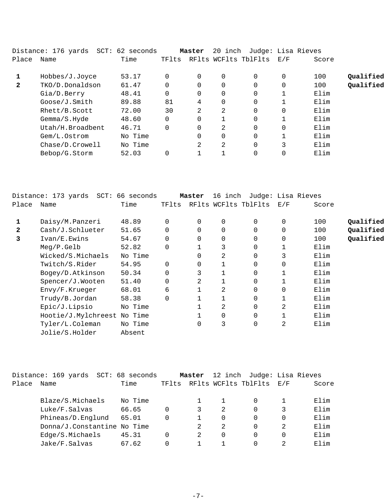|              | Distance: 176 yards SCT: 62 seconds |         |          | Master   | 20 inch              |          | Judge: Lisa Rieves |       |           |
|--------------|-------------------------------------|---------|----------|----------|----------------------|----------|--------------------|-------|-----------|
| Place        | Name                                | Time    | TFlts    |          | RFlts WCFlts TblFlts |          | E/F                | Score |           |
|              | Hobbes/J.Joyce                      | 53.17   | $\Omega$ | $\Omega$ | 0                    | $\Omega$ | 0                  | 100   | Qualified |
| $\mathbf{2}$ | TKO/D.Donaldson                     | 61.47   | $\Omega$ |          | 0                    | 0        | 0                  | 100   | Qualified |
|              | Gia/D.Berry                         | 48.41   | $\Omega$ | 0        | 0                    | 0        |                    | Elim  |           |
|              | Goose/J.Smith                       | 89.88   | 81       | 4        | 0                    | $\Omega$ |                    | Elim  |           |
|              | Rhett/B.Scott                       | 72.00   | 30       | 2        | 2                    | $\Omega$ | $\Omega$           | Elim  |           |
|              | Gemma/S.Hyde                        | 48.60   | $\Omega$ | $\Omega$ |                      | $\Omega$ |                    | Elim  |           |
|              | Utah/H.Broadbent                    | 46.71   | $\Omega$ | $\Omega$ | 2                    | $\Omega$ | $\Omega$           | Elim  |           |
|              | Gem/L.Ostrom                        | No Time |          | $\Omega$ | 0                    | $\Omega$ |                    | Elim  |           |
|              | Chase/D.Crowell                     | No Time |          | 2        | 2                    | $\Omega$ | 3                  | Elim  |           |
|              | Bebop/G.Storm                       | 52.03   | 0        |          |                      | 0        | 0                  | Elim  |           |
|              |                                     |         |          |          |                      |          |                    |       |           |

|              | Distance: 173 yards SCT: 66 seconds |         |                | Master        | 16 inch |                      | Judge: Lisa Rieves |       |           |
|--------------|-------------------------------------|---------|----------------|---------------|---------|----------------------|--------------------|-------|-----------|
| Place        | Name                                | Time    | TFlts          |               |         | RFlts WCFlts TblFlts | E/F                | Score |           |
| 1            | Daisy/M.Panzeri                     | 48.89   | $\Omega$       | 0             |         | $\mathbf 0$          |                    | 100   | Qualified |
| $\mathbf{z}$ | Cash/J.Schlueter                    | 51.65   | 0              | 0             |         | 0                    |                    | 100   | Qualified |
| 3            | Ivan/E.Ewins                        | 54.67   | 0              | 0             |         | 0                    |                    | 100   | Qualified |
|              | $Meq/P$ . Gelb                      | 52.82   | $\overline{0}$ |               | 3       | 0                    |                    | Elim  |           |
|              | Wicked/S.Michaels                   | No Time |                | 0             | 2       | 0                    | 3                  | Elim  |           |
|              | Twitch/S.Rider                      | 54.95   | $\mathbf 0$    | 0             |         | 0                    |                    | Elim  |           |
|              | Bogey/D.Atkinson                    | 50.34   | 0              | 3             |         | 0                    |                    | Elim  |           |
|              | Spencer/J.Wooten                    | 51.40   | 0              | $\mathcal{L}$ |         | 0                    |                    | Elim  |           |
|              | Envy/F.Krueger                      | 68.01   | 6              |               | 2       | 0                    |                    | Elim  |           |
|              | Trudy/B.Jordan                      | 58.38   | $\overline{0}$ |               |         | 0                    |                    | Elim  |           |
|              | Epic/J.Lipsio                       | No Time |                |               | 2       | 0                    | 2                  | Elim  |           |
|              | Hootie/J.Mylchreest No Time         |         |                |               |         | 0                    |                    | Elim  |           |
|              | Tyler/L.Coleman                     | No Time |                | 0             | 3       | 0                    | 2                  | Elim  |           |
|              | Jolie/S.Holder                      | Absent  |                |               |         |                      |                    |       |           |

|       | Distance: 169 yards         | SCT: 68 seconds |          | Master |          | 12 inch Judge: Lisa Rieves |         |          |
|-------|-----------------------------|-----------------|----------|--------|----------|----------------------------|---------|----------|
| Place | Name                        | Time            | TFlts    |        |          | RFlts WCFlts TblFlts       | - E / F | Score    |
|       | Blaze/S.Michaels            | No Time         |          |        |          |                            |         | Elim     |
|       | Luke/F.Salvas               | 66.65           | 0        | 3      | 2        |                            |         | Elim     |
|       | Phineas/D.Englund           | 65.01           | $\Omega$ |        | $\Omega$ | 0                          | 0       | Elim     |
|       | Donna/J.Constantine No Time |                 |          | 2      | 2        | 0                          | 2       | Elim     |
|       | Edge/S.Michaels             | 45.31           | 0        | 2      | 0        | 0                          | 0       | Elim     |
|       | Jake/F.Salvas               | 67.62           | 0        |        |          |                            |         | $F.1$ im |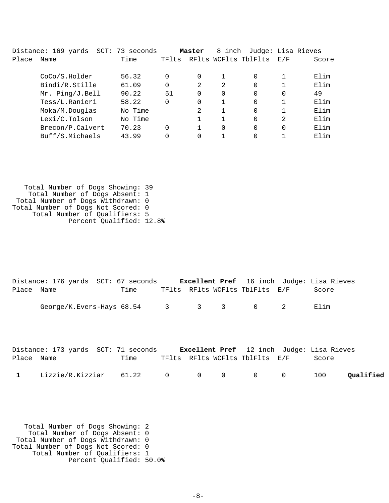|       | Distance: 169 yards | SCT: 73 seconds |          | Master         | 8 inch               |          |               | Judge: Lisa Rieves |
|-------|---------------------|-----------------|----------|----------------|----------------------|----------|---------------|--------------------|
| Place | Name                | Time            | TFlts    |                | RFlts WCFlts TblFlts |          | E/F           | Score              |
|       | CoCo/S.Holder       | 56.32           | 0        | 0              |                      | 0        |               | Elim               |
|       | Bindi/R.Stille      | 61.09           | $\Omega$ | 2              | 2                    | 0        |               | Elim               |
|       | Mr. Ping/J.Bell     | 90.22           | 51       | $\Omega$       | 0                    | $\Omega$ | $\Omega$      | 49                 |
|       | Tess/L.Ranieri      | 58.22           | $\Omega$ | $\Omega$       |                      | $\Omega$ |               | Elim               |
|       | Moka/M.Douglas      | No Time         |          | $\mathfrak{D}$ |                      | $\Omega$ |               | Elim               |
|       | Lexi/C.Tolson       | No Time         |          |                |                      | $\Omega$ | $\mathcal{L}$ | Elim               |
|       | Brecon/P.Calvert    | 70.23           | 0        |                | 0                    | 0        |               | Elim               |
|       | Buff/S.Michaels     | 43.99           |          |                |                      |          |               | Elim               |

 Total Number of Dogs Showing: 39 Total Number of Dogs Absent: 1 Total Number of Dogs Withdrawn: 0 Total Number of Dogs Not Scored: 0 Total Number of Qualifiers: 5 Percent Qualified: 12.8%

|            | Distance: 176 yards SCT: 67 seconds   |      |  |                                | <b>Excellent Pref</b> 16 inch Judge: Lisa Rieves |
|------------|---------------------------------------|------|--|--------------------------------|--------------------------------------------------|
| Place Name |                                       | Time |  | TFlts RFlts WCFlts TblFlts E/F | Score                                            |
|            | George/K.Evers-Hays $68.54$ 3 3 3 0 2 |      |  |                                | Elim                                             |

|              | Distance: 173 yards SCT: 71 seconds |      |  |                                | <b>Excellent Pref</b> 12 inch Judge: Lisa Rieves |           |
|--------------|-------------------------------------|------|--|--------------------------------|--------------------------------------------------|-----------|
| Place Name   |                                     | Time |  | TFlts RFlts WCFlts TblFlts E/F | Score                                            |           |
| $\mathbf{1}$ | Lizzie/R.Kizziar 61.22 0 0 0 0 0    |      |  |                                | 100                                              | Qualified |

 Total Number of Dogs Showing: 2 Total Number of Dogs Absent: 0 Total Number of Dogs Withdrawn: 0 Total Number of Dogs Not Scored: 0 Total Number of Qualifiers: 1 Percent Qualified: 50.0%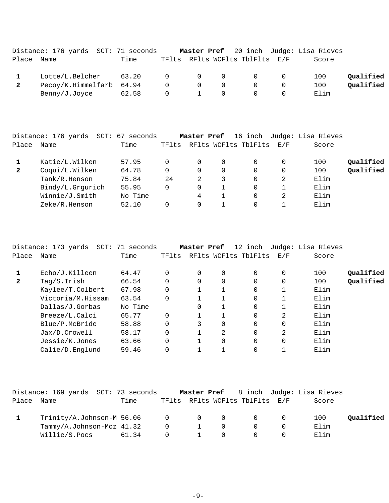|       | Distance: 176 yards SCT: 71 seconds |       |                |                |                                   |                                            | Master Pref 20 inch Judge: Lisa Rieves |           |
|-------|-------------------------------------|-------|----------------|----------------|-----------------------------------|--------------------------------------------|----------------------------------------|-----------|
| Place | Name                                | Time  |                |                |                                   | TFlts RFlts WCFlts TblFlts E/F             | Score                                  |           |
|       | Lotte/L.Belcher                     | 63.20 |                |                | $\begin{matrix}0&0&0\end{matrix}$ | $\begin{array}{ccc} & & & 0 & \end{array}$ | 100                                    | Oualified |
|       | Pecoy/K.Himmelfarb 64.94            |       | $\overline{0}$ | $\overline{0}$ | $\overline{0}$                    | $\Omega$                                   | 100                                    | Qualified |
|       | Benny/J.Joyce                       | 62.58 | $\Omega$       | $\sim$ 1       | $\Omega$                          | $\Omega$                                   | Elim                                   |           |

|              | Distance: 176 yards<br>$SCT$ : | 67<br>seconds |       | Master Pref |   | 16 inch              |     | Judge: Lisa Rieves |           |
|--------------|--------------------------------|---------------|-------|-------------|---|----------------------|-----|--------------------|-----------|
| Place        | Name                           | Time          | TFlts |             |   | RFlts WCFlts TblFlts | E/F | Score              |           |
|              | Katie/L.Wilken                 | 57.95         |       | 0           | 0 |                      | 0   | 100                | Qualified |
| $\mathbf{2}$ | Coqui/L.Wilken                 | 64.78         |       | 0           | 0 | 0                    | 0   | 100                | Qualified |
|              | Tank/R.Henson                  | 75.84         | 24    | 2           | 3 | 0                    | 2   | Elim               |           |
|              | Bindy/L.Grqurich               | 55.95         |       | 0           |   | 0                    |     | Elim               |           |
|              | Winnie/J.Smith                 | No Time       |       | 4           |   | 0                    | 2   | Elim               |           |
|              | Zeke/R.Henson                  | 52.10         |       | 0           |   | 0                    |     | Elim               |           |
|              |                                |               |       |             |   |                      |     |                    |           |

|                | Distance: 173 yards SCT: 71 seconds |         |          | Master Pref |          | 12 inch              |          | Judge: Lisa Rieves |           |
|----------------|-------------------------------------|---------|----------|-------------|----------|----------------------|----------|--------------------|-----------|
| Place          | Name                                | Time    | TFlts    |             |          | RFlts WCFlts TblFlts | E/F      | Score              |           |
|                | Echo/J.Killeen                      | 64.47   |          | $\Omega$    | 0        | $\Omega$             | 0        | 100                | Oualified |
| $\overline{2}$ | Tag/S.Irish                         | 66.54   |          | $\Omega$    | $\Omega$ | $\Omega$             | $\Omega$ | 100                | Qualified |
|                | Kaylee/T.Colbert                    | 67.98   |          |             |          | $\Omega$             | 1        | Elim               |           |
|                | Victoria/M.Hissam                   | 63.54   | $\Omega$ |             |          | $\Omega$             |          | Elim               |           |
|                | Dallas/J.Gorbas                     | No Time |          | $\Omega$    |          | $\Omega$             |          | Elim               |           |
|                | Breeze/L.Calci                      | 65.77   |          |             |          | $\Omega$             | 2        | Elim               |           |
|                | Blue/P.McBride                      | 58.88   |          | 3           | $\Omega$ | $\Omega$             | $\Omega$ | Elim               |           |
|                | Jax/D.Crowell                       | 58.17   |          |             | 2        | $\Omega$             | 2        | Elim               |           |
|                | Jessie/K.Jones                      | 63.66   |          |             | $\Omega$ | $\Omega$             | $\Omega$ | Elim               |           |
|                | Calie/D.Enqlund                     | 59.46   |          |             |          | 0                    | 1        | Elim               |           |
|                |                                     |         |          |             |          |                      |          |                    |           |

|       | Distance: 169 yards SCT: 73 seconds   |       |                |   |                |                                | <b>Master Pref</b> 8 inch Judge: Lisa Rieves |           |
|-------|---------------------------------------|-------|----------------|---|----------------|--------------------------------|----------------------------------------------|-----------|
| Place | Name                                  | Time  |                |   |                | TFlts RFlts WCFlts TblFlts E/F | Score                                        |           |
|       | $Trinity/A.Johnson-M 56.06$ 0 0 0 0 0 |       |                |   |                |                                | 100                                          | Qualified |
|       | Tammy/A.Johnson-Moz 41.32             |       | $\overline{0}$ | 1 | $\Omega$       | $\cap$                         | Elim                                         |           |
|       | Willie/S.Pocs                         | 61.34 | $\Omega$       |   | $\overline{0}$ |                                | Elim                                         |           |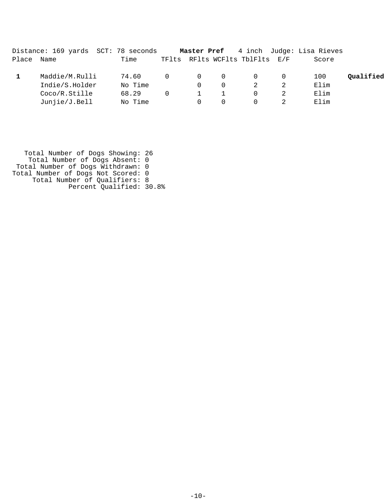|       | Distance: 169 yards SCT: 78 seconds |         |          | Master Pref |          |                                | 4 inch Judge: Lisa Rieves |           |
|-------|-------------------------------------|---------|----------|-------------|----------|--------------------------------|---------------------------|-----------|
| Place | Name                                | Time    |          |             |          | TFlts RFlts WCFlts TblFlts E/F | Score                     |           |
|       | Maddie/M.Rulli                      | 74.60   | $\Omega$ | $\Omega$    | $\Omega$ | 0                              | 100                       | Oualified |
|       | Indie/S.Holder                      | No Time |          | $\Omega$    | $\Omega$ |                                | Elim                      |           |
|       | Coco/R.Stille                       | 68.29   |          |             |          |                                | Elim                      |           |
|       | Junjie/J.Bell                       | No Time |          | $\Omega$    |          |                                | Elim                      |           |

 Total Number of Dogs Showing: 26 Total Number of Dogs Absent: 0 Total Number of Dogs Withdrawn: 0 Total Number of Dogs Not Scored: 0 Total Number of Qualifiers: 8 Percent Qualified: 30.8%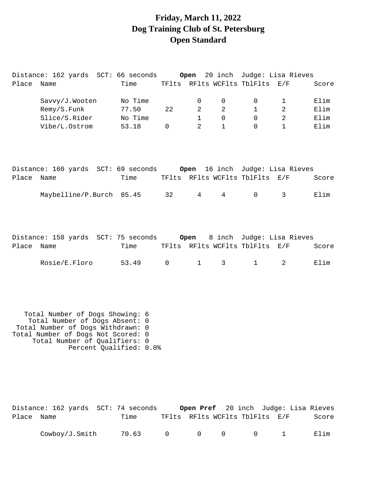## **Friday, March 11, 2022 Dog Training Club of St. Petersburg Open Standard**

Distance: 162 yards SCT: 66 seconds **Open** 20 inch Judge: Lisa Rieves

| Place      | Name                                                                                                                                                                                                     | Time    |              |                 |              | TFlts RFlts WCFlts TblFlts     | E/F            | Score |
|------------|----------------------------------------------------------------------------------------------------------------------------------------------------------------------------------------------------------|---------|--------------|-----------------|--------------|--------------------------------|----------------|-------|
|            | Savvy/J.Wooten                                                                                                                                                                                           | No Time |              | 0               | 0            | 0                              | $\mathbf{1}$   | Elim  |
|            | Remy/S.Funk                                                                                                                                                                                              | 77.50   | 22           | 2               | 2            | $\mathbf{1}$                   | 2              | Elim  |
|            | Slice/S.Rider                                                                                                                                                                                            | No Time |              | $\mathbf{1}$    | $\mathbf 0$  | 0                              | 2              | Elim  |
|            | Vibe/L.Ostrom                                                                                                                                                                                            | 53.18   | $\mathsf{O}$ | 2               | $\mathbf{1}$ | $\Omega$                       | $\mathbf{1}$   | Elim  |
| Place      | Distance: 160 yards SCT: 69 seconds     Open 16 inch Judge: Lisa Rieves<br>Name                                                                                                                          | Time    |              |                 |              | TFlts RFlts WCFlts TblFlts E/F |                | Score |
|            |                                                                                                                                                                                                          |         |              |                 |              |                                |                |       |
|            | Maybelline/P.Burch 85.45                                                                                                                                                                                 |         | 32           | $4\overline{ }$ | $4\degree$   | $\mathsf{O}$                   | 3              | Elim  |
| Place      | Distance: 158 yards SCT: 75 seconds 0pen 8 inch Judge: Lisa Rieves<br>Name                                                                                                                               | Time    |              |                 |              | TFlts RFlts WCFlts TblFlts E/F |                | Score |
|            | Rosie/E.Floro                                                                                                                                                                                            | 53.49   | $\mathsf{O}$ | $\mathbf{1}$    | 3            | 1                              | $\overline{2}$ | Elim  |
|            | Total Number of Dogs Showing: 6<br>Total Number of Dogs Absent: 0<br>Total Number of Dogs Withdrawn: 0<br>Total Number of Dogs Not Scored: 0<br>Total Number of Qualifiers: 0<br>Percent Qualified: 0.0% |         |              |                 |              |                                |                |       |
| Place Name |                                                                                                                                                                                                          | Time    |              |                 |              | TFlts RFlts WCFlts TblFlts E/F |                | Score |

Cowboy/J.Smith 70.63 0 0 0 0 1 Elim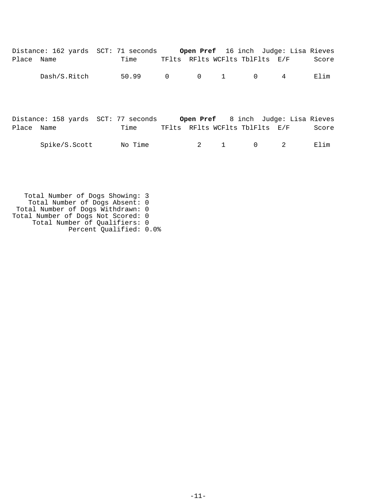|            | Distance: 162 yards SCT: 71 seconds Open Pref 16 inch Judge: Lisa Rieves |         |                |              |              |          |                                  |       |
|------------|--------------------------------------------------------------------------|---------|----------------|--------------|--------------|----------|----------------------------------|-------|
| Place Name |                                                                          | Time    |                |              |              |          | TFlts RFlts WCFlts TblFlts E/F   | Score |
|            | Dash/S.Ritch                                                             | 50.99   | $\overline{0}$ |              | $0 \qquad 1$ |          | $\overline{4}$<br>$\overline{0}$ | Elim  |
| Place Name | Distance: 158 yards SCT: 77 seconds Open Pref 8 inch Judge: Lisa Rieves  | Time    |                |              |              |          | TFlts RFlts WCFlts TblFlts E/F   | Score |
|            | Spike/S.Scott                                                            | No Time |                | $\mathbf{2}$ | $\mathbf{1}$ | $\Omega$ | $\mathcal{L}$                    | Elim  |

 Total Number of Dogs Showing: 3 Total Number of Dogs Absent: 0 Total Number of Dogs Withdrawn: 0 Total Number of Dogs Not Scored: 0 Total Number of Qualifiers: 0 Percent Qualified: 0.0%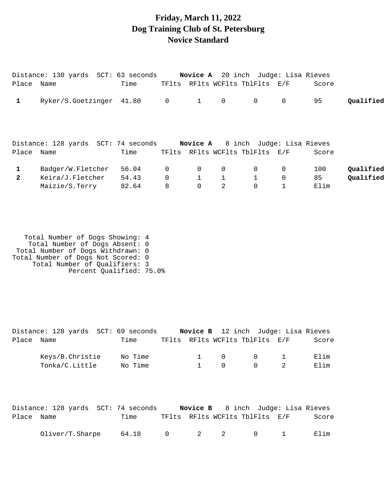#### **Friday, March 11, 2022 Dog Training Club of St. Petersburg Novice Standard**

|              | Distance: 130 yards SCT: 63 seconds |       |                |                |              | <b>Novice A</b> 20 inch Judge: Lisa Rieves |             |       |           |
|--------------|-------------------------------------|-------|----------------|----------------|--------------|--------------------------------------------|-------------|-------|-----------|
| Place Name   |                                     | Time  |                |                |              | TFlts RFlts WCFlts TblFlts E/F             |             | Score |           |
|              | Ryker/S.Goetzinger 41.80            |       | $\overline{0}$ | 1              | $\mathbf 0$  | $\overline{0}$                             | 0           | 95    | Qualified |
|              | Distance: 128 yards SCT: 74 seconds |       |                |                |              | <b>Novice A</b> 8 inch Judge: Lisa Rieves  |             |       |           |
| Place Name   |                                     | Time  |                |                |              | TFlts RFlts WCFlts TblFlts E/F             |             | Score |           |
|              | Badger/W.Fletcher                   | 56.04 | $\mathbf 0$    | 0              | $\mathbf 0$  | $\overline{0}$                             | 0           | 100   | Qualified |
| $\mathbf{2}$ | Keira/J.Fletcher                    | 54.43 | $\Omega$       |                | $\mathbf{1}$ |                                            | $\mathbf 0$ | 85    | Qualified |
|              | Maizie/S.Terry                      | 82.64 | 8              | $\overline{0}$ | 2            | 0                                          |             | Elim  |           |

 Total Number of Dogs Showing: 4 Total Number of Dogs Absent: 0 Total Number of Dogs Withdrawn: 0 Total Number of Dogs Not Scored: 0 Total Number of Qualifiers: 3 Percent Qualified: 75.0%

|            | Distance: 128 yards SCT: 69 seconds |         |  |                                     | Novice B 12 inch Judge: Lisa Rieves      |       |
|------------|-------------------------------------|---------|--|-------------------------------------|------------------------------------------|-------|
| Place Name |                                     | Time    |  |                                     | TFlts RFlts WCFlts TblFlts E/F           | Score |
|            | Keys/B.Christie                     | No Time |  | $\begin{matrix} 1 & 0 \end{matrix}$ | $\begin{array}{ccc} & & & 1 \end{array}$ | Elim  |
|            | Tonka/C.Little                      | No Time |  | $\bigcap$                           | $\Omega$                                 | Elim  |

|            | Distance: 128 yards SCT: 74 seconds |       |                                |                                         |  |  | <b>Novice B</b> 8 inch Judge: Lisa Rieves |
|------------|-------------------------------------|-------|--------------------------------|-----------------------------------------|--|--|-------------------------------------------|
| Place Name |                                     | Time  | TFlts RFlts WCFlts TblFlts E/F |                                         |  |  | Score                                     |
|            | Oliver/T.Sharpe                     | 64.18 |                                | $0 \qquad 2 \qquad 2 \qquad 0 \qquad 1$ |  |  | Elim                                      |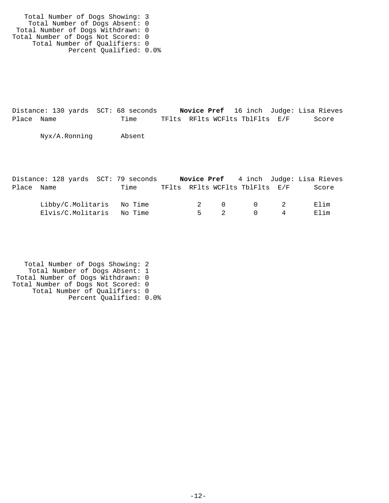Total Number of Dogs Showing: 3 Total Number of Dogs Absent: 0 Total Number of Dogs Withdrawn: 0 Total Number of Dogs Not Scored: 0 Total Number of Qualifiers: 0 Percent Qualified: 0.0%

Distance: 130 yards SCT: 68 seconds **Novice Pref** 16 inch Judge: Lisa Rieves Place Name Time TFlts RFlts WCFlts TblFlts E/F Score

Nyx/A.Ronning Absent

|            | Distance: 128 yards SCT: 79 seconds |      |  |          |                                |                                     | <b>Novice Pref</b> 4 inch Judge: Lisa Rieves |
|------------|-------------------------------------|------|--|----------|--------------------------------|-------------------------------------|----------------------------------------------|
| Place Name |                                     | Time |  |          | TFlts RFlts WCFlts TblFlts E/F |                                     | Score                                        |
|            | Libby/C.Molitaris No Time           |      |  |          | 2 0 0 2                        |                                     | Elim                                         |
|            | Elvis/C.Molitaris No Time           |      |  | $5 \t 2$ |                                | $\begin{matrix} 0 & 4 \end{matrix}$ | Elim                                         |

 Total Number of Dogs Showing: 2 Total Number of Dogs Absent: 1 Total Number of Dogs Withdrawn: 0 Total Number of Dogs Not Scored: 0 Total Number of Qualifiers: 0 Percent Qualified: 0.0%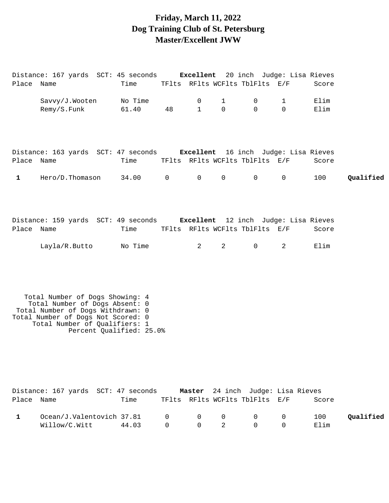# **Friday, March 11, 2022 Dog Training Club of St. Petersburg Master/Excellent JWW**

| Place Name   | Distance: 167 yards SCT: 45 seconds Excellent 20 inch Judge: Lisa Rieves                                                                                                                                  | Time            |                |                |                | TFlts RFlts WCFlts TblFlts E/F                 |             | Score         |           |
|--------------|-----------------------------------------------------------------------------------------------------------------------------------------------------------------------------------------------------------|-----------------|----------------|----------------|----------------|------------------------------------------------|-------------|---------------|-----------|
|              | Savvy/J.Wooten                                                                                                                                                                                            | No Time         |                | 0              | $\mathbf 1$    | 0                                              | 1           | Elim          |           |
|              | Remy/S.Funk                                                                                                                                                                                               | 61.40           | 48             | $\mathbf{1}$   | $\mathsf{O}$   | $\mathbf 0$                                    | $\Omega$    | Elim          |           |
| Place Name   | Distance: 163 yards SCT: 47 seconds Excellent 16 inch Judge: Lisa Rieves                                                                                                                                  | Time            |                |                |                | TFlts RFlts WCFlts TblFlts E/F                 |             | Score         |           |
|              |                                                                                                                                                                                                           |                 |                |                |                |                                                |             |               |           |
| $\mathbf{1}$ | Hero/D.Thomason                                                                                                                                                                                           | 34.00           | $\overline{0}$ | $\mathbf 0$    | $\mathsf{O}$   | $\mathsf{O}$                                   | $\mathbf 0$ | 100           | Qualified |
| Place Name   | Distance: 159 yards SCT: 49 seconds Excellent 12 inch Judge: Lisa Rieves<br>Layla/R.Butto                                                                                                                 | Time<br>No Time |                | $\overline{2}$ | $\overline{2}$ | TFlts RFlts WCFlts TblFlts E/F<br>$\mathsf{O}$ | 2           | Score<br>Elim |           |
|              | Total Number of Dogs Showing: 4<br>Total Number of Dogs Absent: 0<br>Total Number of Dogs Withdrawn: 0<br>Total Number of Dogs Not Scored: 0<br>Total Number of Qualifiers: 1<br>Percent Qualified: 25.0% |                 |                |                |                |                                                |             |               |           |

|            | Distance: 167 yards SCT: 47 seconds |       |          |                                              | <b>Master</b> 24 inch Judge: Lisa Rieves   |       |           |
|------------|-------------------------------------|-------|----------|----------------------------------------------|--------------------------------------------|-------|-----------|
| Place Name |                                     | Time  |          |                                              | TFlts RFlts WCFlts TblFlts E/F             | Score |           |
|            | Ocean/J.Valentovich 37.81 0 0 0     |       |          |                                              | $\begin{array}{ccc} & & & 0 & \end{array}$ | 100   | Oualified |
|            | Willow/C.Witt                       | 44.03 | $\Omega$ | $\begin{array}{ccc} & & 0 & & 2 \end{array}$ |                                            | Elim  |           |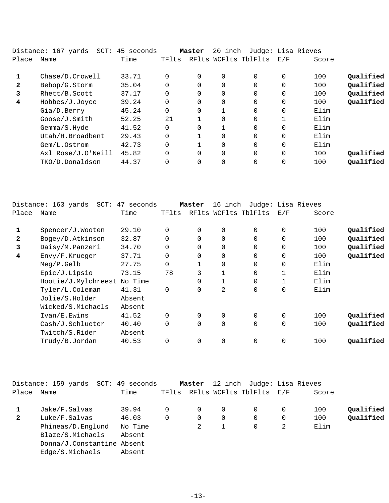|              | Distance: 167 yards | SCT: 45 seconds |          | Master   | 20 inch        | Judge: Lisa Rieves   |              |       |           |
|--------------|---------------------|-----------------|----------|----------|----------------|----------------------|--------------|-------|-----------|
| Place        | Name                | Time            | TFlts    |          |                | RFlts WCFlts TblFlts | E/F          | Score |           |
|              | Chase/D.Crowell     | 33.71           | 0        | $\Omega$ | $\Omega$       | $\Omega$             | $\Omega$     | 100   | Oualified |
| $\mathbf{2}$ | Bebop/G.Storm       | 35.04           | $\Omega$ | 0        | 0              | $\Omega$             | $\Omega$     | 100   | Qualified |
| 3            | Rhett/B.Scott       | 37.17           | $\Omega$ |          | $\overline{0}$ | 0                    | 0            | 100   | Qualified |
| 4            | Hobbes/J.Joyce      | 39.24           | $\Omega$ | 0        | $\Omega$       | $\Omega$             | $\Omega$     | 100   | Qualified |
|              | Gia/D.Berry         | 45.24           | $\Omega$ | 0        |                | $\Omega$             | $\Omega$     | Elim  |           |
|              | Goose/J.Smith       | 52.25           | 21       |          | $\overline{0}$ | $\Omega$             | $\mathbf{1}$ | Elim  |           |
|              | Gemma/S.Hyde        | 41.52           | $\Omega$ | 0        |                | $\Omega$             | $\Omega$     | Elim  |           |
|              | Utah/H.Broadbent    | 29.43           | $\Omega$ |          | 0              | $\Omega$             | $\Omega$     | Elim  |           |
|              | Gem/L.Ostrom        | 42.73           | $\Omega$ |          | $\overline{0}$ | $\Omega$             | 0            | Elim  |           |
|              | Axl Rose/J.O'Neill  | 45.82           | $\Omega$ | $\Omega$ | $\Omega$       | $\Omega$             | 0            | 100   | Oualified |
|              | TKO/D.Donaldson     | 44.37           | $\Omega$ |          | 0              | $\Omega$             |              | 100   | Qualified |
|              |                     |                 |          |          |                |                      |              |       |           |

|              | Distance: 163 yards<br>SCT: | 47 seconds |             | Master      | 16 inch |                      | Judge: Lisa Rieves |       |           |
|--------------|-----------------------------|------------|-------------|-------------|---------|----------------------|--------------------|-------|-----------|
| Place        | Name                        | Time       | TFlts       |             |         | RFlts WCFlts TblFlts | E/F                | Score |           |
| 1            | Spencer/J.Wooten            | 29.10      | $\Omega$    | $\mathbf 0$ | 0       | 0                    | 0                  | 100   | Qualified |
| $\mathbf{2}$ | Bogey/D.Atkinson            | 32.87      | $\Omega$    | $\Omega$    | 0       | $\overline{0}$       | 0                  | 100   | Qualified |
| 3            | Daisy/M.Panzeri             | 34.70      | $\mathbf 0$ | 0           | 0       | 0                    | 0                  | 100   | Qualified |
| 4            | Envy/F.Krueger              | 37.71      | $\mathbf 0$ | $\mathbf 0$ | 0       | 0                    | 0                  | 100   | Qualified |
|              | Meg/P.Gelb                  | 27.75      | $\Omega$    |             | 0       | $\Omega$             | 0                  | Elim  |           |
|              | Epic/J.Lipsio               | 73.15      | 78          | 3           |         | 0                    |                    | Elim  |           |
|              | Hootie/J.Mylchreest         | No Time    |             | 0           |         | $\overline{0}$       |                    | Elim  |           |
|              | Tyler/L.Coleman             | 41.31      | $\mathbf 0$ | $\mathbf 0$ | 2       | $\overline{0}$       | 0                  | Elim  |           |
|              | Jolie/S.Holder              | Absent     |             |             |         |                      |                    |       |           |
|              | Wicked/S.Michaels           | Absent     |             |             |         |                      |                    |       |           |
|              | Ivan/E.Ewins                | 41.52      | $\Omega$    | $\Omega$    | 0       | $\Omega$             | 0                  | 100   | Qualified |
|              | Cash/J.Schlueter            | 40.40      | $\Omega$    | $\mathbf 0$ | 0       | $\overline{0}$       | 0                  | 100   | Qualified |
|              | Twitch/S.Rider              | Absent     |             |             |         |                      |                    |       |           |
|              | Trudy/B.Jordan              | 40.53      | $\Omega$    | $\mathbf 0$ | 0       | $\overline{0}$       | 0                  | 100   | Qualified |
|              |                             |            |             |             |         |                      |                    |       |           |

|              | Distance: 159 yards SCT: 49 seconds |         |                | Master      |          |                                | 12 inch Judge: Lisa Rieves |       |           |
|--------------|-------------------------------------|---------|----------------|-------------|----------|--------------------------------|----------------------------|-------|-----------|
| Place Name   |                                     | Time    |                |             |          | TFlts RFlts WCFlts TblFlts E/F |                            | Score |           |
|              | Jake/F.Salvas                       | 39.94   | $\Omega$       | $\Omega$    | $\Omega$ | $\overline{0}$                 | 0                          | 100   | Qualified |
| $\mathbf{2}$ | Luke/F.Salvas                       | 46.03   | $\overline{0}$ | $\mathbf 0$ | $\Omega$ | $\Omega$                       | 0                          | 100   | Qualified |
|              | Phineas/D.Englund                   | No Time |                | 2           |          | 0                              | 2                          | Elim  |           |
|              | Blaze/S.Michaels                    | Absent  |                |             |          |                                |                            |       |           |
|              | Donna/J.Constantine Absent          |         |                |             |          |                                |                            |       |           |
|              | Edge/S.Michaels                     | Absent  |                |             |          |                                |                            |       |           |
|              |                                     |         |                |             |          |                                |                            |       |           |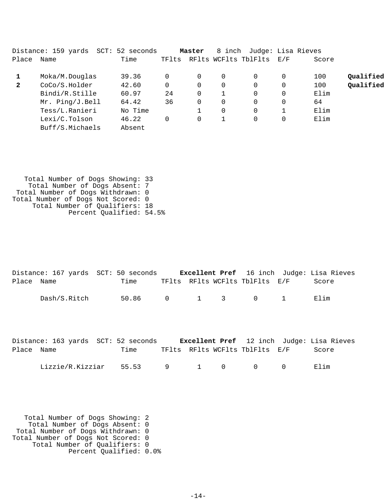|              | Distance: 159 yards<br>SCT: | 52 seconds |       | Master | 8 inch      |                      | Judge: Lisa Rieves |       |           |
|--------------|-----------------------------|------------|-------|--------|-------------|----------------------|--------------------|-------|-----------|
| Place        | Name                        | Time       | TFlts |        |             | RFlts WCFlts TblFlts | E/F                | Score |           |
|              | Moka/M.Douglas              | 39.36      |       | 0      | 0           | 0                    | 0                  | 100   | Qualified |
| $\mathbf{2}$ | CoCo/S.Holder               | 42.60      |       | 0      | 0           | $\Omega$             | 0                  | 100   | Qualified |
|              | Bindi/R.Stille              | 60.97      | 24    | 0      |             | $\Omega$             | $\Omega$           | Elim  |           |
|              | Mr. Ping/J.Bell             | 64.42      | 36    | 0      | $\mathbf 0$ | $\Omega$             | 0                  | 64    |           |
|              | Tess/L.Ranieri              | No Time    |       |        | $\Omega$    | $\Omega$             |                    | Elim  |           |
|              | Lexi/C.Tolson               | 46.22      | 0     | 0      |             | $\Omega$             | $\Omega$           | Elim  |           |
|              | Buff/S.Michaels             | Absent     |       |        |             |                      |                    |       |           |

 Total Number of Dogs Showing: 33 Total Number of Dogs Absent: 7 Total Number of Dogs Withdrawn: 0 Total Number of Dogs Not Scored: 0 Total Number of Qualifiers: 18 Percent Qualified: 54.5%

|            |              | Distance: 167 yards SCT: 50 seconds |  |                                | <b>Excellent Pref</b> 16 inch Judge: Lisa Rieves |
|------------|--------------|-------------------------------------|--|--------------------------------|--------------------------------------------------|
| Place Name |              | Time                                |  | TFlts RFlts WCFlts TblFlts E/F | Score                                            |
|            | Dash/S.Ritch | 50.86 0 1 3 0 1                     |  |                                | Elim                                             |

|            | Distance: 163 yards SCT: 52 seconds       |      |  |                                | <b>Excellent Pref</b> 12 inch Judge: Lisa Rieves |  |
|------------|-------------------------------------------|------|--|--------------------------------|--------------------------------------------------|--|
| Place Name |                                           | Time |  | TFlts RFlts WCFlts TblFlts E/F | Score                                            |  |
|            | $\text{Lizzie/R.Kizziar}$ 55.53 9 1 0 0 0 |      |  |                                | Elim                                             |  |

 Total Number of Dogs Showing: 2 Total Number of Dogs Absent: 0 Total Number of Dogs Withdrawn: 0 Total Number of Dogs Not Scored: 0 Total Number of Qualifiers: 0 Percent Qualified: 0.0%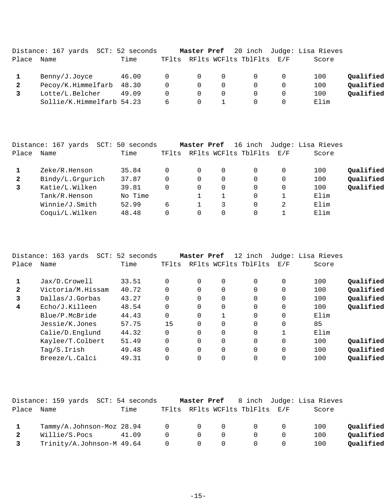|              | Distance: 167 yards SCT: 52 seconds |       |              |                |          |                          | Master Pref 20 inch Judge: Lisa Rieves |           |
|--------------|-------------------------------------|-------|--------------|----------------|----------|--------------------------|----------------------------------------|-----------|
| Place        | Name                                | Time  | TFlts        |                |          | RFlts WCFlts TblFlts E/F | Score                                  |           |
|              | Benny/J.Joyce                       | 46.00 | 0            | $\overline{0}$ | $\Omega$ |                          | 100                                    | Qualified |
| $\mathbf{2}$ | Pecoy/K.Himmelfarb 48.30            |       | 0            | $\overline{0}$ | 0        |                          | 100                                    | Qualified |
|              | Lotte/L.Belcher                     | 49.09 | <sup>n</sup> |                | 0        |                          | 100                                    | Qualified |
|              | Sollie/K.Himmelfarb 54.23           |       | 6            |                |          |                          | Elim                                   |           |

|              | Distance: 167 yards<br>SCT: | 50 seconds |       | Master Pref |   | 16 inch              |          | Judge: Lisa Rieves |           |
|--------------|-----------------------------|------------|-------|-------------|---|----------------------|----------|--------------------|-----------|
| Place        | Name                        | Time       | TFlts |             |   | RFlts WCFlts TblFlts | E/F      | Score              |           |
|              | Zeke/R.Henson               | 35.84      |       | 0           | 0 |                      | 0        | 100                | Qualified |
| $\mathbf{2}$ | Bindy/L.Grqurich            | 37.87      |       | $\Omega$    | 0 |                      | 0        | 100                | Qualified |
| 3            | Katie/L.Wilken              | 39.81      |       | $\Omega$    | 0 |                      | $\Omega$ | 100                | Qualified |
|              | Tank/R.Henson               | No Time    |       |             |   | 0                    |          | Elim               |           |
|              | Winnie/J.Smith              | 52.99      | 6     |             | 3 |                      | 2        | Elim               |           |
|              | Coqui/L.Wilken              | 48.48      |       | $\Omega$    | 0 |                      |          | Elim               |           |
|              |                             |            |       |             |   |                      |          |                    |           |

|              | Distance: 163 yards<br>SCT: | 52 seconds |       | Master Pref |          | 12 inch              |             | Judge: Lisa Rieves |           |
|--------------|-----------------------------|------------|-------|-------------|----------|----------------------|-------------|--------------------|-----------|
| Place        | Name                        | Time       | TFlts |             |          | RFlts WCFlts TblFlts | E/F         | Score              |           |
|              | Jax/D.Crowell               | 33.51      |       | $\Omega$    | $\Omega$ | $\Omega$             | 0           | 100                | Oualified |
| $\mathbf{2}$ | Victoria/M.Hissam           | 40.72      |       | $\Omega$    | $\Omega$ | $\Omega$             | 0           | 100                | Qualified |
| 3            | Dallas/J.Gorbas             | 43.27      |       | $\Omega$    | $\Omega$ | $\Omega$             | 0           | 100                | Qualified |
| 4            | Echo/J.Killeen              | 48.54      |       | $\Omega$    | $\Omega$ | $\Omega$             | $\Omega$    | 100                | Qualified |
|              | Blue/P.McBride              | 44.43      |       | $\Omega$    |          | $\Omega$             | $\mathbf 0$ | Elim               |           |
|              | Jessie/K.Jones              | 57.75      | 15    | $\Omega$    | 0        | 0                    | $\Omega$    | 85                 |           |
|              | Calie/D.Englund             | 44.32      |       | $\Omega$    | 0        | $\Omega$             |             | Elim               |           |
|              | Kaylee/T.Colbert            | 51.49      |       | $\Omega$    | 0        | 0                    | 0           | 100                | Oualified |
|              | Taq/S.Irish                 | 49.48      |       | $\Omega$    | 0        | 0                    | $\Omega$    | 100                | Qualified |
|              | Breeze/L.Calci              | 49.31      |       | $\Omega$    | 0        | 0                    | 0           | 100                | Qualified |

|       | Distance: 159 yards SCT: 54 seconds |       |                |                |          |                                | Master Pref 8 inch Judge: Lisa Rieves |           |
|-------|-------------------------------------|-------|----------------|----------------|----------|--------------------------------|---------------------------------------|-----------|
| Place | Name                                | Time  |                |                |          | TFlts RFlts WCFlts TblFlts E/F | Score                                 |           |
|       |                                     |       |                |                |          |                                |                                       |           |
|       | Tammy/A.Johnson-Moz 28.94 0 0       |       |                |                | $\Omega$ |                                | 100                                   | Oualified |
|       | Willie/S.Pocs                       | 41.09 | $\cap$         | $\Omega$       |          |                                | 100                                   | Oualified |
|       | Trinity/A.Johnson-M 49.64           |       | $\overline{0}$ | $\overline{0}$ |          |                                | 100                                   | Oualified |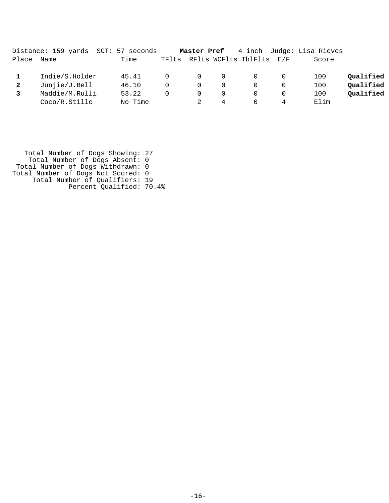|       | Distance: 159 yards  SCT: 57 seconds |         |              | Master Pref    |          |                          |   | 4 inch Judge: Lisa Rieves |           |
|-------|--------------------------------------|---------|--------------|----------------|----------|--------------------------|---|---------------------------|-----------|
| Place | Name                                 | Time    | TFlts        |                |          | RFlts WCFlts TblFlts E/F |   | Score                     |           |
|       | Indie/S.Holder                       | 45.41   | <sup>n</sup> | $\overline{0}$ | $\Omega$ |                          |   | 100                       | Qualified |
| 2     | Junjie/J.Bell                        | 46.10   | $\Omega$     | 0              | 0        |                          |   | 100                       | Qualified |
|       | Maddie/M.Rulli                       | 53.22   | 0            |                | 0        |                          |   | 100                       | Qualified |
|       | Coco/R.Stille                        | No Time |              |                | 4        |                          | 4 | Elim                      |           |

 Total Number of Dogs Showing: 27 Total Number of Dogs Absent: 0 Total Number of Dogs Withdrawn: 0 Total Number of Dogs Not Scored: 0 Total Number of Qualifiers: 19 Percent Qualified: 70.4%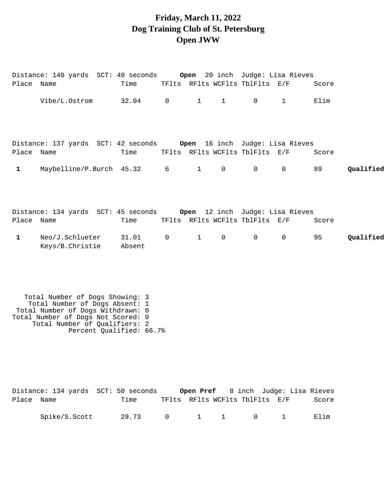### **Friday, March 11, 2022 Dog Training Club of St. Petersburg Open JWW**

|              | Distance: 140 yards  SCT: 40 seconds <b>Open</b> 20 inch  Judge: Lisa Rieves |                 |                |              |              |                                |             |       |           |
|--------------|------------------------------------------------------------------------------|-----------------|----------------|--------------|--------------|--------------------------------|-------------|-------|-----------|
| Place Name   |                                                                              | Time            |                |              |              | TFlts RFlts WCFlts TblFlts E/F |             | Score |           |
|              | Vibe/L.Ostrom                                                                | 32.04 0         |                | $1 \quad$    | $\mathbf{1}$ | $\Omega$                       | $\mathbf 1$ | Elim  |           |
| Place Name   | Distance: 137 yards SCT: 42 seconds 6 open 16 inch Judge: Lisa Rieves        | Time            |                |              |              | TFlts RFlts WCFlts TblFlts E/F |             | Score |           |
| $\mathbf{1}$ | Maybelline/P.Burch 45.32                                                     |                 | $6\overline{}$ | $\mathbf{1}$ | $\mathbf 0$  | $\mathbf 0$                    | $\mathbf 0$ | 89    | Qualified |
| Place Name   | Distance: 134 yards SCT: 45 seconds     Open 12 inch Judge: Lisa Rieves      | Time            |                |              |              | TFlts RFlts WCFlts TblFlts E/F |             | Score |           |
| $\mathbf{1}$ | Neo/J.Schlueter<br>Keys/B.Christie                                           | 31.01<br>Absent | $\overline{0}$ | $\mathbf{1}$ | $\mathsf{O}$ | 0                              | $\mathbf 0$ | 95    | Qualified |

 Total Number of Dogs Showing: 3 Total Number of Dogs Absent: 1 Total Number of Dogs Withdrawn: 0 Total Number of Dogs Not Scored: 0 Total Number of Qualifiers: 2 Percent Qualified: 66.7%

|            | Distance: 134 yards SCT: 50 seconds |       |  |                                         |  | Open Pref 8 inch Judge: Lisa Rieves |
|------------|-------------------------------------|-------|--|-----------------------------------------|--|-------------------------------------|
| Place Name |                                     | Time  |  | TFlts RFlts WCFlts TblFlts E/F          |  | Score                               |
|            | Spike/S.Scott                       | 29.73 |  | $0 \qquad 1 \qquad 1 \qquad 0 \qquad 1$ |  | Elim                                |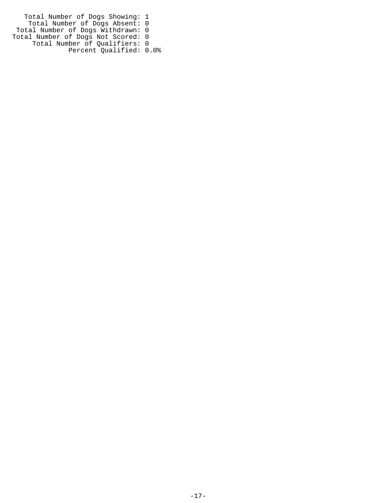Total Number of Dogs Showing: 1 Total Number of Dogs Absent: 0 Total Number of Dogs Withdrawn: 0 Total Number of Dogs Not Scored: 0 Total Number of Qualifiers: 0 Percent Qualified: 0.0%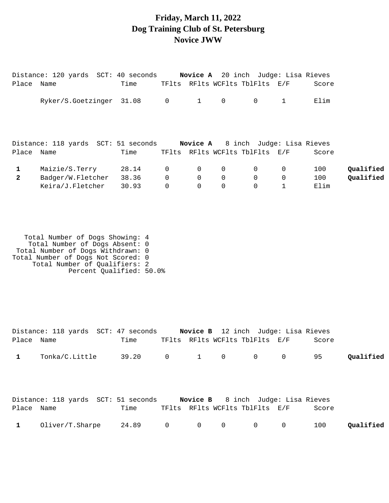#### **Friday, March 11, 2022 Dog Training Club of St. Petersburg Novice JWW**

|              | Distance: 120 yards  SCT: 40 seconds |       |                |              | <b>Novice A</b> 20 inch Judge: Lisa Rieves |             |              |       |           |
|--------------|--------------------------------------|-------|----------------|--------------|--------------------------------------------|-------------|--------------|-------|-----------|
| Place Name   |                                      | Time  |                |              | TFlts RFlts WCFlts TblFlts E/F             |             |              | Score |           |
|              | Ryker/S.Goetzinger 31.08             |       | $\overline{0}$ | $\mathbf{1}$ | $\overline{0}$                             | $\mathbf 0$ | $\mathbf{1}$ | Elim  |           |
|              |                                      |       |                |              |                                            |             |              |       |           |
|              | Distance: 118 yards SCT: 51 seconds  |       |                |              | <b>Novice A</b> 8 inch Judge: Lisa Rieves  |             |              |       |           |
| Place Name   |                                      | Time  |                |              | TFlts RFlts WCFlts TblFlts E/F             |             |              | Score |           |
| $\mathbf{1}$ | Maizie/S.Terry                       | 28.14 | $\overline{0}$ | $\mathbf 0$  | $\mathbf 0$                                | 0           | $\mathbf 0$  | 100   | Qualified |
| $\mathbf{2}$ | Badger/W.Fletcher                    | 38.36 | $\Omega$       | $\mathbf 0$  | $\Omega$                                   | $\mathbf 0$ | $\mathbf 0$  | 100   | Qualified |
|              | Keira/J.Fletcher                     | 30.93 |                | $\mathbf 0$  | $\mathbf 0$                                | $\mathbf 0$ |              | Elim  |           |

 Total Number of Dogs Showing: 4 Total Number of Dogs Absent: 0 Total Number of Dogs Withdrawn: 0 Total Number of Dogs Not Scored: 0 Total Number of Qualifiers: 2 Percent Qualified: 50.0%

|            | Distance: 118 yards SCT: 47 seconds Novice B 12 inch Judge: Lisa Rieves |      |                                                    |                                |                |       |           |
|------------|-------------------------------------------------------------------------|------|----------------------------------------------------|--------------------------------|----------------|-------|-----------|
| Place Name |                                                                         | Time |                                                    | TFlts RFlts WCFlts TblFlts E/F |                | Score |           |
|            | Tonka/C.Little 39.20 0 1 0 0 0                                          |      |                                                    |                                |                | 95    | Qualified |
| Place Name | Distance: 118 yards SCT: 51 seconds Novice B 8 inch Judge: Lisa Rieves  | Time |                                                    | TFlts RFlts WCFlts TblFlts E/F |                | Score |           |
|            | $Oliver/T.Sharpe$ 24.89 0                                               |      | $\begin{array}{ccc} & & 0 & \quad & 0 \end{array}$ | $\overline{O}$                 | $\overline{0}$ | 100   | Oualified |